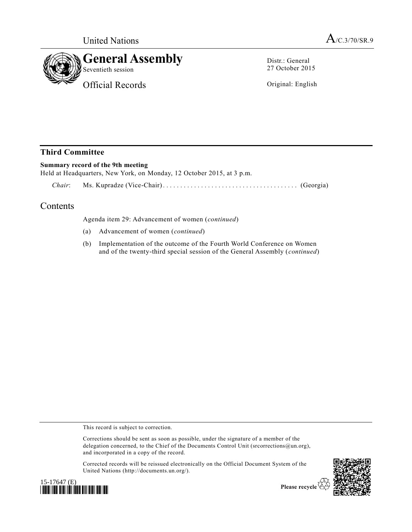

Distr.: General 27 October 2015

Original: English

## **Third Committee**

## **Summary record of the 9th meeting**

Held at Headquarters, New York, on Monday, 12 October 2015, at 3 p.m.

*Chair*: Ms. Kupradze (Vice-Chair) ................................ ....... (Georgia)

## Contents

Agenda item 29: Advancement of women (*continued*)

- (a) Advancement of women (*continued*)
- (b) Implementation of the outcome of the Fourth World Conference on Women and of the twenty-third special session of the General Assembly (*continued*)

This record is subject to correction.

Corrections should be sent as soon as possible, under the signature of a member of the delegation concerned, to the Chief of the Documents Control Unit (srcorrections@un.org), and incorporated in a copy of the record.

Corrected records will be reissued electronically on the Official Document System of the United Nations (http://documents.un.org/).





Please recycle  $\heartsuit$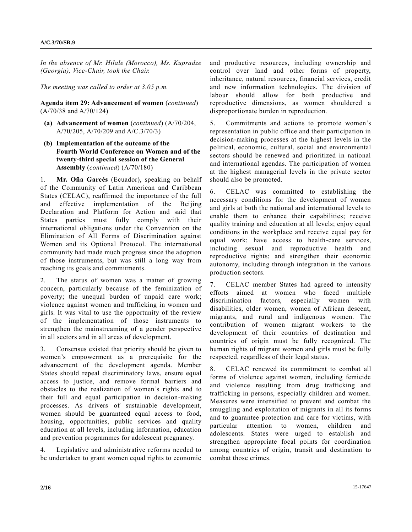*In the absence of Mr. Hilale (Morocco), Ms. Kupradze (Georgia), Vice-Chair, took the Chair.*

*The meeting was called to order at 3.05 p.m.*

**Agenda item 29: Advancement of women** (*continued*) [\(A/70/38](http://undocs.org/A/70/38) and [A/70/124\)](http://undocs.org/A/70/124)

- **(a) Advancement of women** (*continued*) [\(A/70/204,](http://undocs.org/A/70/204) [A/70/205,](http://undocs.org/A/70/205) [A/70/209](http://undocs.org/A/70/209) and [A/C.3/70/3\)](http://undocs.org/A/C.3/70/3)
- **(b) Implementation of the outcome of the Fourth World Conference on Women and of the twenty-third special session of the General Assembly** (*continued*) [\(A/70/180\)](http://undocs.org/A/70/180)

1. **Mr. Oña Garcés** (Ecuador), speaking on behalf of the Community of Latin American and Caribbean States (CELAC), reaffirmed the importance of the full and effective implementation of the Beijing Declaration and Platform for Action and said that States parties must fully comply with their international obligations under the Convention on the Elimination of All Forms of Discrimination against Women and its Optional Protocol. The international community had made much progress since the adoption of those instruments, but was still a long way from reaching its goals and commitments.

2. The status of women was a matter of growing concern, particularly because of the feminization of poverty; the unequal burden of unpaid care work; violence against women and trafficking in women and girls. It was vital to use the opportunity of the review of the implementation of those instruments to strengthen the mainstreaming of a gender perspective in all sectors and in all areas of development.

3. Consensus existed that priority should be given to women's empowerment as a prerequisite for the advancement of the development agenda. Member States should repeal discriminatory laws, ensure equal access to justice, and remove formal barriers and obstacles to the realization of women's rights and to their full and equal participation in decision-making processes. As drivers of sustainable development, women should be guaranteed equal access to food, housing, opportunities, public services and quality education at all levels, including information, education and prevention programmes for adolescent pregnancy.

4. Legislative and administrative reforms needed to be undertaken to grant women equal rights to economic and productive resources, including ownership and control over land and other forms of property, inheritance, natural resources, financial services, credit and new information technologies. The division of labour should allow for both productive and reproductive dimensions, as women shouldered a disproportionate burden in reproduction.

5. Commitments and actions to promote women's representation in public office and their participation in decision-making processes at the highest levels in the political, economic, cultural, social and environmental sectors should be renewed and prioritized in national and international agendas. The participation of women at the highest managerial levels in the private sector should also be promoted.

6. CELAC was committed to establishing the necessary conditions for the development of women and girls at both the national and international levels to enable them to enhance their capabilities; receive quality training and education at all levels; enjoy equal conditions in the workplace and receive equal pay for equal work; have access to health-care services, including sexual and reproductive health and reproductive rights; and strengthen their economic autonomy, including through integration in the various production sectors.

7. CELAC member States had agreed to intensity efforts aimed at women who faced multiple discrimination factors, especially women with disabilities, older women, women of African descent, migrants, and rural and indigenous women. The contribution of women migrant workers to the development of their countries of destination and countries of origin must be fully recognized. The human rights of migrant women and girls must be fully respected, regardless of their legal status.

8. CELAC renewed its commitment to combat all forms of violence against women, including femicide and violence resulting from drug trafficking and trafficking in persons, especially children and women. Measures were intensified to prevent and combat the smuggling and exploitation of migrants in all its forms and to guarantee protection and care for victims, with particular attention to women, children and adolescents. States were urged to establish and strengthen appropriate focal points for coordination among countries of origin, transit and destination to combat those crimes.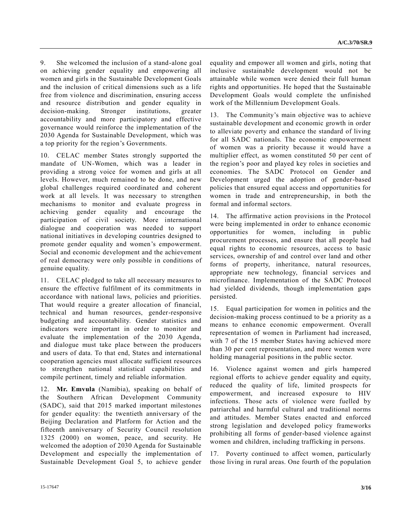9. She welcomed the inclusion of a stand-alone goal on achieving gender equality and empowering all women and girls in the Sustainable Development Goals and the inclusion of critical dimensions such as a life free from violence and discrimination, ensuring access and resource distribution and gender equality in decision-making. Stronger institutions, greater accountability and more participatory and effective governance would reinforce the implementation of the 2030 Agenda for Sustainable Development, which was a top priority for the region's Governments.

10. CELAC member States strongly supported the mandate of UN-Women, which was a leader in providing a strong voice for women and girls at all levels. However, much remained to be done, and new global challenges required coordinated and coherent work at all levels. It was necessary to strengthen mechanisms to monitor and evaluate progress in achieving gender equality and encourage the participation of civil society. More international dialogue and cooperation was needed to support national initiatives in developing countries designed to promote gender equality and women's empowerment. Social and economic development and the achievement of real democracy were only possible in conditions of genuine equality.

11. CELAC pledged to take all necessary measures to ensure the effective fulfilment of its commitments in accordance with national laws, policies and priorities. That would require a greater allocation of financial, technical and human resources, gender-responsive budgeting and accountability. Gender statistics and indicators were important in order to monitor and evaluate the implementation of the 2030 Agenda, and dialogue must take place between the producers and users of data. To that end, States and international cooperation agencies must allocate sufficient resources to strengthen national statistical capabilities and compile pertinent, timely and reliable information.

12. **Mr. Emvula** (Namibia), speaking on behalf of the Southern African Development Community (SADC), said that 2015 marked important milestones for gender equality: the twentieth anniversary of the Beijing Declaration and Platform for Action and the fifteenth anniversary of Security Council resolution 1325 (2000) on women, peace, and security. He welcomed the adoption of 2030 Agenda for Sustainable Development and especially the implementation of Sustainable Development Goal 5, to achieve gender equality and empower all women and girls, noting that inclusive sustainable development would not be attainable while women were denied their full human rights and opportunities. He hoped that the Sustainable Development Goals would complete the unfinished work of the Millennium Development Goals.

13. The Community's main objective was to achieve sustainable development and economic growth in order to alleviate poverty and enhance the standard of living for all SADC nationals. The economic empowerment of women was a priority because it would have a multiplier effect, as women constituted 50 per cent of the region's poor and played key roles in societies and economies. The SADC Protocol on Gender and Development urged the adoption of gender-based policies that ensured equal access and opportunities for women in trade and entrepreneurship, in both the formal and informal sectors.

14. The affirmative action provisions in the Protocol were being implemented in order to enhance economic opportunities for women, including in public procurement processes, and ensure that all people had equal rights to economic resources, access to basic services, ownership of and control over land and other forms of property, inheritance, natural resources, appropriate new technology, financial services and microfinance. Implementation of the SADC Protocol had yielded dividends, though implementation gaps persisted.

15. Equal participation for women in politics and the decision-making process continued to be a priority as a means to enhance economic empowerment. Overall representation of women in Parliament had increased, with 7 of the 15 member States having achieved more than 30 per cent representation, and more women were holding managerial positions in the public sector.

16. Violence against women and girls hampered regional efforts to achieve gender equality and equity, reduced the quality of life, limited prospects for empowerment, and increased exposure to HIV infections. Those acts of violence were fuelled by patriarchal and harmful cultural and traditional norms and attitudes. Member States enacted and enforced strong legislation and developed policy frameworks prohibiting all forms of gender-based violence against women and children, including trafficking in persons.

17. Poverty continued to affect women, particularly those living in rural areas. One fourth of the population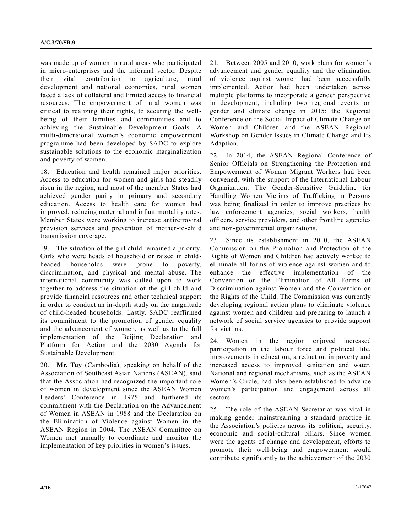was made up of women in rural areas who participated in micro-enterprises and the informal sector. Despite their vital contribution to agriculture, rural development and national economies, rural women faced a lack of collateral and limited access to financial resources. The empowerment of rural women was critical to realizing their rights, to securing the wellbeing of their families and communities and to achieving the Sustainable Development Goals. A multi-dimensional women's economic empowerment programme had been developed by SADC to explore sustainable solutions to the economic marginalization and poverty of women.

18. Education and health remained major priorities. Access to education for women and girls had steadily risen in the region, and most of the member States had achieved gender parity in primary and secondary education. Access to health care for women had improved, reducing maternal and infant mortality rates. Member States were working to increase antiretroviral provision services and prevention of mother-to-child transmission coverage.

19. The situation of the girl child remained a priority. Girls who were heads of household or raised in childheaded households were prone to poverty, discrimination, and physical and mental abuse. The international community was called upon to work together to address the situation of the girl child and provide financial resources and other technical support in order to conduct an in-depth study on the magnitude of child-headed households. Lastly, SADC reaffirmed its commitment to the promotion of gender equality and the advancement of women, as well as to the full implementation of the Beijing Declaration and Platform for Action and the 2030 Agenda for Sustainable Development.

20. **Mr. Tuy** (Cambodia), speaking on behalf of the Association of Southeast Asian Nations (ASEAN), said that the Association had recognized the important role of women in development since the ASEAN Women Leaders' Conference in 1975 and furthered its commitment with the Declaration on the Advancement of Women in ASEAN in 1988 and the Declaration on the Elimination of Violence against Women in the ASEAN Region in 2004. The ASEAN Committee on Women met annually to coordinate and monitor the implementation of key priorities in women's issues.

21. Between 2005 and 2010, work plans for women's advancement and gender equality and the elimination of violence against women had been successfully implemented. Action had been undertaken across multiple platforms to incorporate a gender perspective in development, including two regional events on gender and climate change in 2015: the Regional Conference on the Social Impact of Climate Change on Women and Children and the ASEAN Regional Workshop on Gender Issues in Climate Change and Its Adaption.

22. In 2014, the ASEAN Regional Conference of Senior Officials on Strengthening the Protection and Empowerment of Women Migrant Workers had been convened, with the support of the International Labour Organization. The Gender-Sensitive Guideline for Handling Women Victims of Trafficking in Persons was being finalized in order to improve practices by law enforcement agencies, social workers, health officers, service providers, and other frontline agencies and non-governmental organizations.

23. Since its establishment in 2010, the ASEAN Commission on the Promotion and Protection of the Rights of Women and Children had actively worked to eliminate all forms of violence against women and to enhance the effective implementation of the Convention on the Elimination of All Forms of Discrimination against Women and the Convention on the Rights of the Child. The Commission was currently developing regional action plans to eliminate violence against women and children and preparing to launch a network of social service agencies to provide support for victims.

24. Women in the region enjoyed increased participation in the labour force and political life, improvements in education, a reduction in poverty and increased access to improved sanitation and water. National and regional mechanisms, such as the ASEAN Women's Circle, had also been established to advance women's participation and engagement across all sectors.

25. The role of the ASEAN Secretariat was vital in making gender mainstreaming a standard practice in the Association's policies across its political, security, economic and social-cultural pillars. Since women were the agents of change and development, efforts to promote their well-being and empowerment would contribute significantly to the achievement of the 2030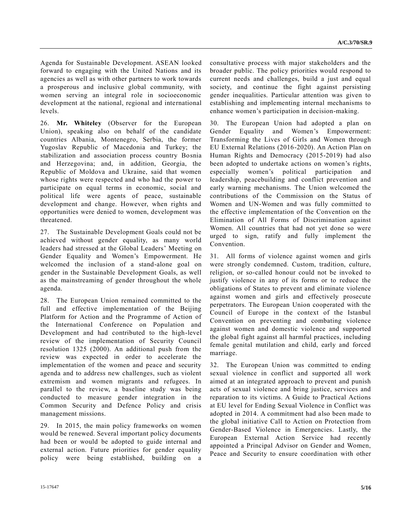Agenda for Sustainable Development. ASEAN looked forward to engaging with the United Nations and its agencies as well as with other partners to work towards a prosperous and inclusive global community, with women serving an integral role in socioeconomic development at the national, regional and international levels.

26. **Mr. Whiteley** (Observer for the European Union), speaking also on behalf of the candidate countries Albania, Montenegro, Serbia, the former Yugoslav Republic of Macedonia and Turkey; the stabilization and association process country Bosnia and Herzegovina; and, in addition, Georgia, the Republic of Moldova and Ukraine, said that women whose rights were respected and who had the power to participate on equal terms in economic, social and political life were agents of peace, sustainable development and change. However, when rights and opportunities were denied to women, development was threatened.

27. The Sustainable Development Goals could not be achieved without gender equality, as many world leaders had stressed at the Global Leaders' Meeting on Gender Equality and Women's Empowerment. He welcomed the inclusion of a stand-alone goal on gender in the Sustainable Development Goals, as well as the mainstreaming of gender throughout the whole agenda.

28. The European Union remained committed to the full and effective implementation of the Beijing Platform for Action and the Programme of Action of the International Conference on Population and Development and had contributed to the high-level review of the implementation of Security Council resolution 1325 (2000). An additional push from the review was expected in order to accelerate the implementation of the women and peace and security agenda and to address new challenges, such as violent extremism and women migrants and refugees. In parallel to the review, a baseline study was being conducted to measure gender integration in the Common Security and Defence Policy and crisis management missions.

29. In 2015, the main policy frameworks on women would be renewed. Several important policy documents had been or would be adopted to guide internal and external action. Future priorities for gender equality policy were being established, building on a consultative process with major stakeholders and the broader public. The policy priorities would respond to current needs and challenges, build a just and equal society, and continue the fight against persisting gender inequalities. Particular attention was given to establishing and implementing internal mechanisms to enhance women's participation in decision-making.

30. The European Union had adopted a plan on Gender Equality and Women's Empowerment: Transforming the Lives of Girls and Women through EU External Relations (2016-2020). An Action Plan on Human Rights and Democracy (2015-2019) had also been adopted to undertake actions on women's rights, especially women's political participation and leadership, peacebuilding and conflict prevention and early warning mechanisms. The Union welcomed the contributions of the Commission on the Status of Women and UN-Women and was fully committed to the effective implementation of the Convention on the Elimination of All Forms of Discrimination against Women. All countries that had not yet done so were urged to sign, ratify and fully implement the Convention.

31. All forms of violence against women and girls were strongly condemned. Custom, tradition, culture, religion, or so-called honour could not be invoked to justify violence in any of its forms or to reduce the obligations of States to prevent and eliminate violence against women and girls and effectively prosecute perpetrators. The European Union cooperated with the Council of Europe in the context of the Istanbul Convention on preventing and combating violence against women and domestic violence and supported the global fight against all harmful practices, including female genital mutilation and child, early and forced marriage.

32. The European Union was committed to ending sexual violence in conflict and supported all work aimed at an integrated approach to prevent and punish acts of sexual violence and bring justice, services and reparation to its victims. A Guide to Practical Actions at EU level for Ending Sexual Violence in Conflict was adopted in 2014. A commitment had also been made to the global initiative Call to Action on Protection from Gender-Based Violence in Emergencies. Lastly, the European External Action Service had recently appointed a Principal Advisor on Gender and Women, Peace and Security to ensure coordination with other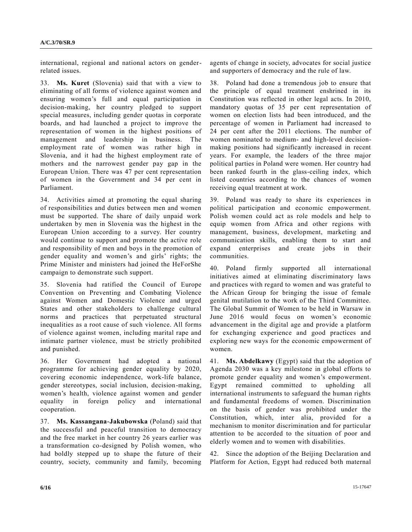international, regional and national actors on genderrelated issues.

33. **Ms. Kuret** (Slovenia) said that with a view to eliminating of all forms of violence against women and ensuring women's full and equal participation in decision-making, her country pledged to support special measures, including gender quotas in corporate boards, and had launched a project to improve the representation of women in the highest positions of management and leadership in business. The employment rate of women was rather high in Slovenia, and it had the highest employment rate of mothers and the narrowest gender pay gap in the European Union. There was 47 per cent representation of women in the Government and 34 per cent in Parliament.

34. Activities aimed at promoting the equal sharing of responsibilities and duties between men and women must be supported. The share of daily unpaid work undertaken by men in Slovenia was the highest in the European Union according to a survey. Her country would continue to support and promote the active role and responsibility of men and boys in the promotion of gender equality and women's and girls' rights; the Prime Minister and ministers had joined the HeForShe campaign to demonstrate such support.

35. Slovenia had ratified the Council of Europe Convention on Preventing and Combating Violence against Women and Domestic Violence and urged States and other stakeholders to challenge cultural norms and practices that perpetuated structural inequalities as a root cause of such violence. All forms of violence against women, including marital rape and intimate partner violence, must be strictly prohibited and punished.

36. Her Government had adopted a national programme for achieving gender equality by 2020, covering economic independence, work-life balance, gender stereotypes, social inclusion, decision-making, women's health, violence against women and gender equality in foreign policy and international cooperation.

37. **Ms. Kassangana-Jakubowska** (Poland) said that the successful and peaceful transition to democracy and the free market in her country 26 years earlier was a transformation co-designed by Polish women, who had boldly stepped up to shape the future of their country, society, community and family, becoming agents of change in society, advocates for social justice and supporters of democracy and the rule of law.

38. Poland had done a tremendous job to ensure that the principle of equal treatment enshrined in its Constitution was reflected in other legal acts. In 2010, mandatory quotas of 35 per cent representation of women on election lists had been introduced, and the percentage of women in Parliament had increased to 24 per cent after the 2011 elections. The number of women nominated to medium- and high-level decisionmaking positions had significantly increased in recent years. For example, the leaders of the three major political parties in Poland were women. Her country had been ranked fourth in the glass-ceiling index, which listed countries according to the chances of women receiving equal treatment at work.

39. Poland was ready to share its experiences in political participation and economic empowerment. Polish women could act as role models and help to equip women from Africa and other regions with management, business, development, marketing and communication skills, enabling them to start and expand enterprises and create jobs in their communities.

40. Poland firmly supported all international initiatives aimed at eliminating discriminatory laws and practices with regard to women and was grateful to the African Group for bringing the issue of female genital mutilation to the work of the Third Committee. The Global Summit of Women to be held in Warsaw in June 2016 would focus on women's economic advancement in the digital age and provide a platform for exchanging experience and good practices and exploring new ways for the economic empowerment of women.

41. **Ms. Abdelkawy** (Egypt) said that the adoption of Agenda 2030 was a key milestone in global efforts to promote gender equality and women's empowerment. Egypt remained committed to upholding all international instruments to safeguard the human rights and fundamental freedoms of women. Discrimination on the basis of gender was prohibited under the Constitution, which, inter alia, provided for a mechanism to monitor discrimination and for particular attention to be accorded to the situation of poor and elderly women and to women with disabilities.

42. Since the adoption of the Beijing Declaration and Platform for Action, Egypt had reduced both maternal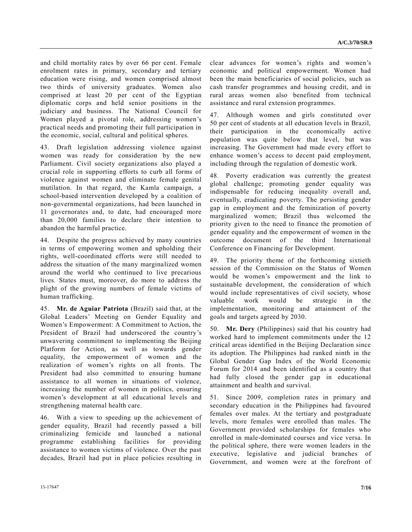and child mortality rates by over 66 per cent. Female enrolment rates in primary, secondary and tertiary education were rising, and women comprised almost two thirds of university graduates. Women also comprised at least 20 per cent of the Egyptian diplomatic corps and held senior positions in the judiciary and business. The National Council for Women played a pivotal role, addressing women's practical needs and promoting their full participation in the economic, social, cultural and political spheres.

43. Draft legislation addressing violence against women was ready for consideration by the new Parliament. Civil society organizations also played a crucial role in supporting efforts to curb all forms of violence against women and eliminate female genital mutilation. In that regard, the Kamla campaign, a school-based intervention developed by a coalition of non-governmental organizations, had been launched in 11 governorates and, to date, had encouraged more than 20,000 families to declare their intention to abandon the harmful practice.

44. Despite the progress achieved by many countries in terms of empowering women and upholding their rights, well-coordinated efforts were still needed to address the situation of the many marginalized women around the world who continued to live precarious lives. States must, moreover, do more to address the plight of the growing numbers of female victims of human trafficking.

45. **Mr. de Aguiar Patriota** (Brazil) said that, at the Global Leaders' Meeting on Gender Equality and Women's Empowerment: A Commitment to Action, the President of Brazil had underscored the country's unwavering commitment to implementing the Beijing Platform for Action, as well as towards gender equality, the empowerment of women and the realization of women's rights on all fronts. The President had also committed to ensuring humane assistance to all women in situations of violence, increasing the number of women in politics, ensuring women's development at all educational levels and strengthening maternal health care.

46. With a view to speeding up the achievement of gender equality, Brazil had recently passed a bill criminalizing femicide and launched a national programme establishing facilities for providing assistance to women victims of violence. Over the past decades, Brazil had put in place policies resulting in clear advances for women's rights and women's economic and political empowerment. Women had been the main beneficiaries of social policies, such as cash transfer programmes and housing credit, and in rural areas women also benefited from technical assistance and rural extension programmes.

47. Although women and girls constituted over 50 per cent of students at all education levels in Brazil, their participation in the economically active population was quite below that level, but was increasing. The Government had made every effort to enhance women's access to decent paid employment, including through the regulation of domestic work.

48. Poverty eradication was currently the greatest global challenge; promoting gender equality was indispensable for reducing inequality overall and, eventually, eradicating poverty. The persisting gender gap in employment and the feminization of poverty marginalized women; Brazil thus welcomed the priority given to the need to finance the promotion of gender equality and the empowerment of women in the outcome document of the third International Conference on Financing for Development.

49. The priority theme of the forthcoming sixtieth session of the Commission on the Status of Women would be women's empowerment and the link to sustainable development, the consideration of which would include representatives of civil society, whose valuable work would be strategic in the implementation, monitoring and attainment of the goals and targets agreed by 2030.

50. **Mr. Dery** (Philippines) said that his country had worked hard to implement commitments under the 12 critical areas identified in the Beijing Declaration since its adoption. The Philippines had ranked ninth in the Global Gender Gap Index of the World Economic Forum for 2014 and been identified as a country that had fully closed the gender gap in educational attainment and health and survival.

51. Since 2009, completion rates in primary and secondary education in the Philippines had favoured females over males. At the tertiary and postgraduate levels, more females were enrolled than males. The Government provided scholarships for females who enrolled in male-dominated courses and vice versa. In the political sphere, there were women leaders in the executive, legislative and judicial branches of Government, and women were at the forefront of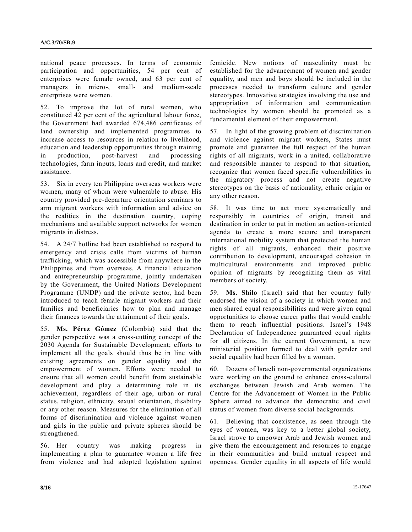national peace processes. In terms of economic participation and opportunities, 54 per cent of enterprises were female owned, and 63 per cent of managers in micro-, small- and medium-scale enterprises were women.

52. To improve the lot of rural women, who constituted 42 per cent of the agricultural labour force, the Government had awarded 674,486 certificates of land ownership and implemented programmes to increase access to resources in relation to livelihood, education and leadership opportunities through training in production, post-harvest and processing technologies, farm inputs, loans and credit, and market assistance.

53. Six in every ten Philippine overseas workers were women, many of whom were vulnerable to abuse. His country provided pre-departure orientation seminars to arm migrant workers with information and advice on the realities in the destination country, coping mechanisms and available support networks for women migrants in distress.

54. A 24/7 hotline had been established to respond to emergency and crisis calls from victims of human trafficking, which was accessible from anywhere in the Philippines and from overseas. A financial education and entrepreneurship programme, jointly undertaken by the Government, the United Nations Development Programme (UNDP) and the private sector, had been introduced to teach female migrant workers and their families and beneficiaries how to plan and manage their finances towards the attainment of their goals.

55. **Ms. Pérez Gómez** (Colombia) said that the gender perspective was a cross-cutting concept of the 2030 Agenda for Sustainable Development; efforts to implement all the goals should thus be in line with existing agreements on gender equality and the empowerment of women. Efforts were needed to ensure that all women could benefit from sustainable development and play a determining role in its achievement, regardless of their age, urban or rural status, religion, ethnicity, sexual orientation, disability or any other reason. Measures for the elimination of all forms of discrimination and violence against women and girls in the public and private spheres should be strengthened.

56. Her country was making progress in implementing a plan to guarantee women a life free from violence and had adopted legislation against

femicide. New notions of masculinity must be established for the advancement of women and gender equality, and men and boys should be included in the processes needed to transform culture and gender stereotypes. Innovative strategies involving the use and appropriation of information and communication technologies by women should be promoted as a fundamental element of their empowerment.

57. In light of the growing problem of discrimination and violence against migrant workers, States must promote and guarantee the full respect of the human rights of all migrants, work in a united, collaborative and responsible manner to respond to that situation, recognize that women faced specific vulnerabilities in the migratory process and not create negative stereotypes on the basis of nationality, ethnic origin or any other reason.

58. It was time to act more systematically and responsibly in countries of origin, transit and destination in order to put in motion an action-oriented agenda to create a more secure and transparent international mobility system that protected the human rights of all migrants, enhanced their positive contribution to development, encouraged cohesion in multicultural environments and improved public opinion of migrants by recognizing them as vital members of society.

59. **Ms. Shilo** (Israel) said that her country fully endorsed the vision of a society in which women and men shared equal responsibilities and were given equal opportunities to choose career paths that would enable them to reach influential positions. Israel's 1948 Declaration of Independence guaranteed equal rights for all citizens. In the current Government, a new ministerial position formed to deal with gender and social equality had been filled by a woman.

60. Dozens of Israeli non-governmental organizations were working on the ground to enhance cross-cultural exchanges between Jewish and Arab women. The Centre for the Advancement of Women in the Public Sphere aimed to advance the democratic and civil status of women from diverse social backgrounds.

61. Believing that coexistence, as seen through the eyes of women, was key to a better global society, Israel strove to empower Arab and Jewish women and give them the encouragement and resources to engage in their communities and build mutual respect and openness. Gender equality in all aspects of life would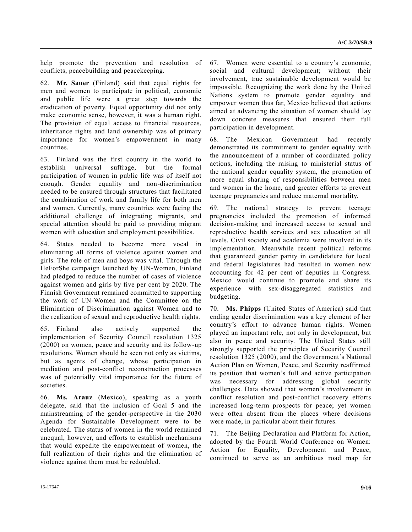help promote the prevention and resolution of conflicts, peacebuilding and peacekeeping.

62. **Mr. Sauer** (Finland) said that equal rights for men and women to participate in political, economic and public life were a great step towards the eradication of poverty. Equal opportunity did not only make economic sense, however, it was a human right. The provision of equal access to financial resources, inheritance rights and land ownership was of primary importance for women's empowerment in many countries.

63. Finland was the first country in the world to establish universal suffrage, but the formal participation of women in public life was of itself not enough. Gender equality and non-discrimination needed to be ensured through structures that facilitated the combination of work and family life for both men and women. Currently, many countries were facing the additional challenge of integrating migrants, and special attention should be paid to providing migrant women with education and employment possibilities.

64. States needed to become more vocal in eliminating all forms of violence against women and girls. The role of men and boys was vital. Through the HeForShe campaign launched by UN-Women, Finland had pledged to reduce the number of cases of violence against women and girls by five per cent by 2020. The Finnish Government remained committed to supporting the work of UN-Women and the Committee on the Elimination of Discrimination against Women and to the realization of sexual and reproductive health rights.

65. Finland also actively supported the implementation of Security Council resolution 1325 (2000) on women, peace and security and its follow-up resolutions. Women should be seen not only as victims, but as agents of change, whose participation in mediation and post-conflict reconstruction processes was of potentially vital importance for the future of societies.

66. **Ms. Arauz** (Mexico), speaking as a youth delegate, said that the inclusion of Goal 5 and the mainstreaming of the gender-perspective in the 2030 Agenda for Sustainable Development were to be celebrated. The status of women in the world remained unequal, however, and efforts to establish mechanisms that would expedite the empowerment of women, the full realization of their rights and the elimination of violence against them must be redoubled.

67. Women were essential to a country's economic, social and cultural development; without their involvement, true sustainable development would be impossible. Recognizing the work done by the United Nations system to promote gender equality and empower women thus far, Mexico believed that actions aimed at advancing the situation of women should lay down concrete measures that ensured their full participation in development.

68. The Mexican Government had recently demonstrated its commitment to gender equality with the announcement of a number of coordinated policy actions, including the raising to ministerial status of the national gender equality system, the promotion of more equal sharing of responsibilities between men and women in the home, and greater efforts to prevent teenage pregnancies and reduce maternal mortality.

69. The national strategy to prevent teenage pregnancies included the promotion of informed decision-making and increased access to sexual and reproductive health services and sex education at all levels. Civil society and academia were involved in its implementation. Meanwhile recent political reforms that guaranteed gender parity in candidature for local and federal legislatures had resulted in women now accounting for 42 per cent of deputies in Congress. Mexico would continue to promote and share its experience with sex-disaggregated statistics and budgeting.

70. **Ms. Phipps** (United States of America) said that ending gender discrimination was a key element of her country's effort to advance human rights. Women played an important role, not only in development, but also in peace and security. The United States still strongly supported the principles of Security Council resolution 1325 (2000), and the Government's National Action Plan on Women, Peace, and Security reaffirmed its position that women's full and active participation was necessary for addressing global security challenges. Data showed that women's involvement in conflict resolution and post-conflict recovery efforts increased long-term prospects for peace; yet women were often absent from the places where decisions were made, in particular about their futures.

71. The Beijing Declaration and Platform for Action, adopted by the Fourth World Conference on Women: Action for Equality, Development and Peace, continued to serve as an ambitious road map for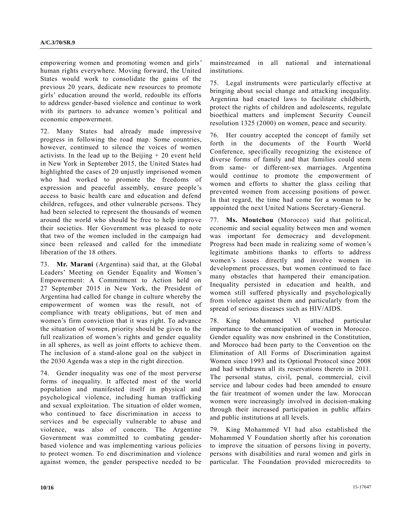empowering women and promoting women and girls' human rights everywhere. Moving forward, the United States would work to consolidate the gains of the previous 20 years, dedicate new resources to promote girls' education around the world, redouble its efforts to address gender-based violence and continue to work with its partners to advance women's political and economic empowerment.

72. Many States had already made impressive progress in following the road map. Some countries, however, continued to silence the voices of women activists. In the lead up to the Beijing  $+20$  event held in New York in September 2015, the United States had highlighted the cases of 20 unjustly imprisoned women who had worked to promote the freedoms of expression and peaceful assembly, ensure people's access to basic health care and education and defend children, refugees, and other vulnerable persons. They had been selected to represent the thousands of women around the world who should be free to help improve their societies. Her Government was pleased to note that two of the women included in the campaign had since been released and called for the immediate liberation of the 18 others.

73. **Mr. Marani** (Argentina) said that, at the Global Leaders' Meeting on Gender Equality and Women's Empowerment: A Commitment to Action held on 27 September 2015 in New York, the President of Argentina had called for change in culture whereby the empowerment of women was the result, not of compliance with treaty obligations, but of men and women's firm conviction that it was right. To advance the situation of women, priority should be given to the full realization of women's rights and gender equality in all spheres, as well as joint efforts to achieve them. The inclusion of a stand-alone goal on the subject in the 2030 Agenda was a step in the right direction.

74. Gender inequality was one of the most perverse forms of inequality. It affected most of the world population and manifested itself in physical and psychological violence, including human trafficking and sexual exploitation. The situation of older women, who continued to face discrimination in access to services and be especially vulnerable to abuse and violence, was also of concern. The Argentine Government was committed to combating genderbased violence and was implementing various policies to protect women. To end discrimination and violence against women, the gender perspective needed to be mainstreamed in all national and international institutions.

75. Legal instruments were particularly effective at bringing about social change and attacking inequality. Argentina had enacted laws to facilitate childbirth, protect the rights of children and adolescents, regulate bioethical matters and implement Security Council resolution 1325 (2000) on women, peace and security.

76. Her country accepted the concept of family set forth in the documents of the Fourth World Conference, specifically recognizing the existence of diverse forms of family and that families could stem from same- or different-sex marriages. Argentina would continue to promote the empowerment of women and efforts to shatter the glass ceiling that prevented women from accessing positions of power. In that regard, the time had come for a woman to be appointed the next United Nations Secretary-General.

77. **Ms. Moutchou** (Morocco) said that political, economic and social equality between men and women was important for democracy and development. Progress had been made in realizing some of women's legitimate ambitions thanks to efforts to address women's issues directly and involve women in development processes, but women continued to face many obstacles that hampered their emancipation. Inequality persisted in education and health, and women still suffered physically and psychologically from violence against them and particularly from the spread of serious diseases such as HIV/AIDS.

78. King Mohammed VI attached particular importance to the emancipation of women in Morocco. Gender equality was now enshrined in the Constitution, and Morocco had been party to the Convention on the Elimination of All Forms of Discrimination against Women since 1993 and its Optional Protocol since 2008 and had withdrawn all its reservations thereto in 2011. The personal status, civil, penal, commercial, civil service and labour codes had been amended to ensure the fair treatment of women under the law. Moroccan women were increasingly involved in decision-making through their increased participation in public affairs and public institutions at all levels.

79. King Mohammed VI had also established the Mohammed V Foundation shortly after his coronation to improve the situation of persons living in poverty, persons with disabilities and rural women and girls in particular. The Foundation provided microcredits to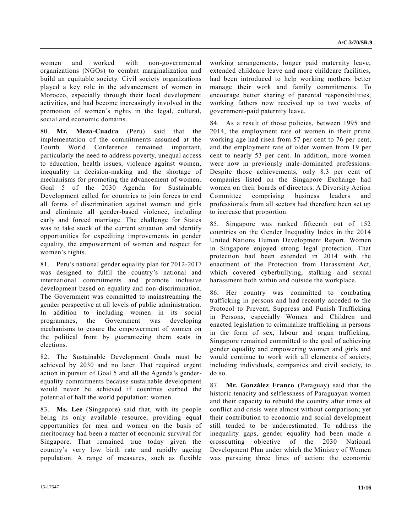women and worked with non-governmental organizations (NGOs) to combat marginalization and build an equitable society. Civil society organizations played a key role in the advancement of women in Morocco, especially through their local development activities, and had become increasingly involved in the promotion of women's rights in the legal, cultural, social and economic domains.

80. **Mr. Meza-Cuadra** (Peru) said that the implementation of the commitments assumed at the Fourth World Conference remained important, particularly the need to address poverty, unequal access to education, health issues, violence against women, inequality in decision-making and the shortage of mechanisms for promoting the advancement of women. Goal 5 of the 2030 Agenda for Sustainable Development called for countries to join forces to end all forms of discrimination against women and girls and eliminate all gender-based violence, including early and forced marriage. The challenge for States was to take stock of the current situation and identify opportunities for expediting improvements in gender equality, the empowerment of women and respect for women's rights.

81. Peru's national gender equality plan for 2012-2017 was designed to fulfil the country's national and international commitments and promote inclusive development based on equality and non-discrimination. The Government was committed to mainstreaming the gender perspective at all levels of public administration. In addition to including women in its social programmes, the Government was developing mechanisms to ensure the empowerment of women on the political front by guaranteeing them seats in elections.

82. The Sustainable Development Goals must be achieved by 2030 and no later. That required urgent action in pursuit of Goal 5 and all the Agenda's genderequality commitments because sustainable development would never be achieved if countries curbed the potential of half the world population: women.

83. **Ms. Lee** (Singapore) said that, with its people being its only available resource, providing equal opportunities for men and women on the basis of meritocracy had been a matter of economic survival for Singapore. That remained true today given the country's very low birth rate and rapidly ageing population. A range of measures, such as flexible

working arrangements, longer paid maternity leave, extended childcare leave and more childcare facilities, had been introduced to help working mothers better manage their work and family commitments. To encourage better sharing of parental responsibilities, working fathers now received up to two weeks of government-paid paternity leave.

84. As a result of those policies, between 1995 and 2014, the employment rate of women in their prime working age had risen from 57 per cent to 76 per cent, and the employment rate of older women from 19 per cent to nearly 53 per cent. In addition, more women were now in previously male-dominated professions. Despite those achievements, only 8.3 per cent of companies listed on the Singapore Exchange had women on their boards of directors. A Diversity Action Committee comprising business leaders and professionals from all sectors had therefore been set up to increase that proportion.

85. Singapore was ranked fifteenth out of 152 countries on the Gender Inequality Index in the 2014 United Nations Human Development Report. Women in Singapore enjoyed strong legal protection. That protection had been extended in 2014 with the enactment of the Protection from Harassment Act, which covered cyberbullying, stalking and sexual harassment both within and outside the workplace.

86. Her country was committed to combating trafficking in persons and had recently acceded to the Protocol to Prevent, Suppress and Punish Trafficking in Persons, especially Women and Children and enacted legislation to criminalize trafficking in persons in the form of sex, labour and organ trafficking. Singapore remained committed to the goal of achieving gender equality and empowering women and girls and would continue to work with all elements of society, including individuals, companies and civil society, to do so.

87. **Mr. González Franco** (Paraguay) said that the historic tenacity and selflessness of Paraguayan women and their capacity to rebuild the country after times of conflict and crisis were almost without comparison; yet their contribution to economic and social development still tended to be underestimated. To address the inequality gaps, gender equality had been made a crosscutting objective of the 2030 National Development Plan under which the Ministry of Women was pursuing three lines of action: the economic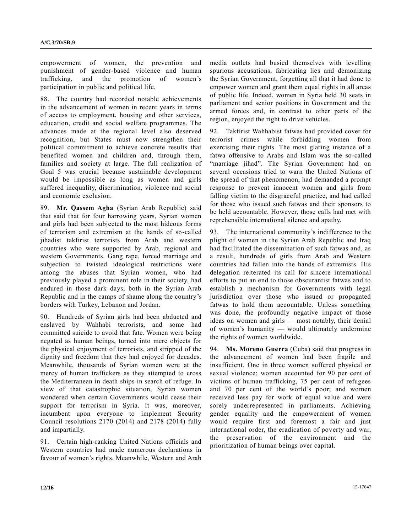empowerment of women, the prevention and punishment of gender-based violence and human trafficking, and the promotion of women's participation in public and political life.

88. The country had recorded notable achievements in the advancement of women in recent years in terms of access to employment, housing and other services, education, credit and social welfare programmes. The advances made at the regional level also deserved recognition, but States must now strengthen their political commitment to achieve concrete results that benefited women and children and, through them, families and society at large. The full realization of Goal 5 was crucial because sustainable development would be impossible as long as women and girls suffered inequality, discrimination, violence and social and economic exclusion.

89. **Mr. Qassem Agha** (Syrian Arab Republic) said that said that for four harrowing years, Syrian women and girls had been subjected to the most hideous forms of terrorism and extremism at the hands of so-called jihadist takfirist terrorists from Arab and western countries who were supported by Arab, regional and western Governments. Gang rape, forced marriage and subjection to twisted ideological restrictions were among the abuses that Syrian women, who had previously played a prominent role in their society, had endured in those dark days, both in the Syrian Arab Republic and in the camps of shame along the country's borders with Turkey, Lebanon and Jordan.

90. Hundreds of Syrian girls had been abducted and enslaved by Wahhabi terrorists, and some had committed suicide to avoid that fate. Women were being negated as human beings, turned into mere objects for the physical enjoyment of terrorists, and stripped of the dignity and freedom that they had enjoyed for decades. Meanwhile, thousands of Syrian women were at the mercy of human traffickers as they attempted to cross the Mediterranean in death ships in search of refuge. In view of that catastrophic situation, Syrian women wondered when certain Governments would cease their support for terrorism in Syria. It was, moreover, incumbent upon everyone to implement Security Council resolutions 2170 (2014) and 2178 (2014) fully and impartially.

91. Certain high-ranking United Nations officials and Western countries had made numerous declarations in favour of women's rights. Meanwhile, Western and Arab media outlets had busied themselves with levelling spurious accusations, fabricating lies and demonizing the Syrian Government, forgetting all that it had done to empower women and grant them equal rights in all areas of public life. Indeed, women in Syria held 30 seats in parliament and senior positions in Government and the armed forces and, in contrast to other parts of the region, enjoyed the right to drive vehicles.

92. Takfirist Wahhabist fatwas had provided cover for terrorist crimes while forbidding women from exercising their rights. The most glaring instance of a fatwa offensive to Arabs and Islam was the so-called "marriage jihad". The Syrian Government had on several occasions tried to warn the United Nations of the spread of that phenomenon, had demanded a prompt response to prevent innocent women and girls from falling victim to the disgraceful practice, and had called for those who issued such fatwas and their sponsors to be held accountable. However, those calls had met with reprehensible international silence and apathy.

93. The international community's indifference to the plight of women in the Syrian Arab Republic and Iraq had facilitated the dissemination of such fatwas and, as a result, hundreds of girls from Arab and Western countries had fallen into the hands of extremists. His delegation reiterated its call for sincere international efforts to put an end to those obscurantist fatwas and to establish a mechanism for Governments with legal jurisdiction over those who issued or propagated fatwas to hold them accountable. Unless something was done, the profoundly negative impact of those ideas on women and girls — most notably, their denial of women's humanity — would ultimately undermine the rights of women worldwide.

94. **Ms. Moreno Guerra** (Cuba) said that progress in the advancement of women had been fragile and insufficient. One in three women suffered physical or sexual violence; women accounted for 90 per cent of victims of human trafficking, 75 per cent of refugees and 70 per cent of the world's poor; and women received less pay for work of equal value and were sorely underrepresented in parliaments. Achieving gender equality and the empowerment of women would require first and foremost a fair and just international order, the eradication of poverty and war, the preservation of the environment and the prioritization of human beings over capital.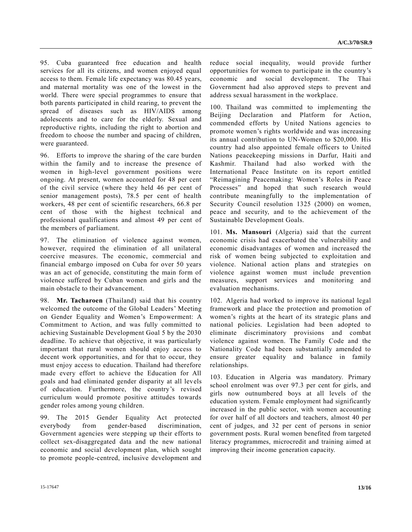95. Cuba guaranteed free education and health services for all its citizens, and women enjoyed equal access to them. Female life expectancy was 80.45 years, and maternal mortality was one of the lowest in the world. There were special programmes to ensure that both parents participated in child rearing, to prevent the spread of diseases such as HIV/AIDS among adolescents and to care for the elderly. Sexual and reproductive rights, including the right to abortion and freedom to choose the number and spacing of children, were guaranteed.

96. Efforts to improve the sharing of the care burden within the family and to increase the presence of women in high-level government positions were ongoing. At present, women accounted for 48 per cent of the civil service (where they held 46 per cent of senior management posts), 78.5 per cent of health workers, 48 per cent of scientific researchers, 66.8 per cent of those with the highest technical and professional qualifications and almost 49 per cent of the members of parliament.

97. The elimination of violence against women, however, required the elimination of all unilateral coercive measures. The economic, commercial and financial embargo imposed on Cuba for over 50 years was an act of genocide, constituting the main form of violence suffered by Cuban women and girls and the main obstacle to their advancement.

98. **Mr. Tacharoen** (Thailand) said that his country welcomed the outcome of the Global Leaders' Meeting on Gender Equality and Women's Empowerment: A Commitment to Action, and was fully committed to achieving Sustainable Development Goal 5 by the 2030 deadline. To achieve that objective, it was particularly important that rural women should enjoy access to decent work opportunities, and for that to occur, they must enjoy access to education. Thailand had therefore made every effort to achieve the Education for All goals and had eliminated gender disparity at all levels of education. Furthermore, the country's revised curriculum would promote positive attitudes towards gender roles among young children.

99. The 2015 Gender Equality Act protected everybody from gender-based discrimination, Government agencies were stepping up their efforts to collect sex-disaggregated data and the new national economic and social development plan, which sought to promote people-centred, inclusive development and reduce social inequality, would provide further opportunities for women to participate in the country's economic and social development. The Thai Government had also approved steps to prevent and address sexual harassment in the workplace.

100. Thailand was committed to implementing the Beijing Declaration and Platform for Action, commended efforts by United Nations agencies to promote women's rights worldwide and was increasing its annual contribution to UN-Women to \$20,000. His country had also appointed female officers to United Nations peacekeeping missions in Darfur, Haiti and Kashmir. Thailand had also worked with the International Peace Institute on its report entitled "Reimagining Peacemaking: Women's Roles in Peace Processes" and hoped that such research would contribute meaningfully to the implementation of Security Council resolution 1325 (2000) on women, peace and security, and to the achievement of the Sustainable Development Goals.

101. **Ms. Mansouri** (Algeria) said that the current economic crisis had exacerbated the vulnerability and economic disadvantages of women and increased the risk of women being subjected to exploitation and violence. National action plans and strategies on violence against women must include prevention measures, support services and monitoring and evaluation mechanisms.

102. Algeria had worked to improve its national legal framework and place the protection and promotion of women's rights at the heart of its strategic plans and national policies. Legislation had been adopted to eliminate discriminatory provisions and combat violence against women. The Family Code and the Nationality Code had been substantially amended to ensure greater equality and balance in family relationships.

103. Education in Algeria was mandatory. Primary school enrolment was over 97.3 per cent for girls, and girls now outnumbered boys at all levels of the education system. Female employment had significantly increased in the public sector, with women accounting for over half of all doctors and teachers, almost 40 per cent of judges, and 32 per cent of persons in senior government posts. Rural women benefited from targeted literacy programmes, microcredit and training aimed at improving their income generation capacity.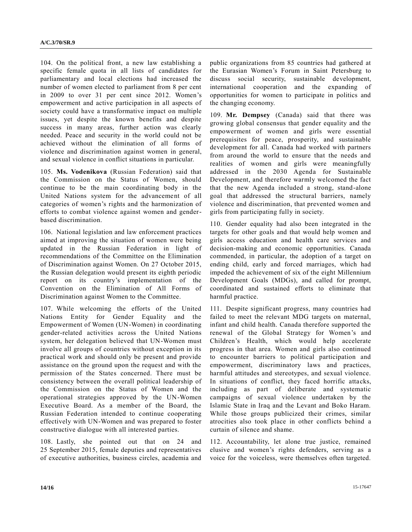104. On the political front, a new law establishing a specific female quota in all lists of candidates for parliamentary and local elections had increased the number of women elected to parliament from 8 per cent in 2009 to over 31 per cent since 2012. Women's empowerment and active participation in all aspects of society could have a transformative impact on multiple issues, yet despite the known benefits and despite success in many areas, further action was clearly needed. Peace and security in the world could not be achieved without the elimination of all forms of violence and discrimination against women in general, and sexual violence in conflict situations in particular.

105. **Ms. Vodenikova** (Russian Federation) said that the Commission on the Status of Women, should continue to be the main coordinating body in the United Nations system for the advancement of all categories of women's rights and the harmonization of efforts to combat violence against women and genderbased discrimination.

106. National legislation and law enforcement practices aimed at improving the situation of women were being updated in the Russian Federation in light of recommendations of the Committee on the Elimination of Discrimination against Women. On 27 October 2015, the Russian delegation would present its eighth periodic report on its country's implementation of the Convention on the Elimination of All Forms of Discrimination against Women to the Committee.

107. While welcoming the efforts of the United Nations Entity for Gender Equality and the Empowerment of Women (UN-Women) in coordinating gender-related activities across the United Nations system, her delegation believed that UN-Women must involve all groups of countries without exception in its practical work and should only be present and provide assistance on the ground upon the request and with the permission of the States concerned. There must be consistency between the overall political leadership of the Commission on the Status of Women and the operational strategies approved by the UN-Women Executive Board. As a member of the Board, the Russian Federation intended to continue cooperating effectively with UN-Women and was prepared to foster constructive dialogue with all interested parties.

108. Lastly, she pointed out that on 24 and 25 September 2015, female deputies and representatives of executive authorities, business circles, academia and public organizations from 85 countries had gathered at the Eurasian Women's Forum in Saint Petersburg to discuss social security, sustainable development, international cooperation and the expanding of opportunities for women to participate in politics and the changing economy.

109. **Mr. Dempsey** (Canada) said that there was growing global consensus that gender equality and the empowerment of women and girls were essential prerequisites for peace, prosperity, and sustainable development for all. Canada had worked with partners from around the world to ensure that the needs and realities of women and girls were meaningfully addressed in the 2030 Agenda for Sustainable Development, and therefore warmly welcomed the fact that the new Agenda included a strong, stand-alone goal that addressed the structural barriers, namely violence and discrimination, that prevented women and girls from participating fully in society.

110. Gender equality had also been integrated in the targets for other goals and that would help women and girls access education and health care services and decision-making and economic opportunities. Canada commended, in particular, the adoption of a target on ending child, early and forced marriages, which had impeded the achievement of six of the eight Millennium Development Goals (MDGs), and called for prompt, coordinated and sustained efforts to eliminate that harmful practice.

111. Despite significant progress, many countries had failed to meet the relevant MDG targets on maternal, infant and child health. Canada therefore supported the renewal of the Global Strategy for Women's and Children's Health, which would help accelerate progress in that area. Women and girls also continued to encounter barriers to political participation and empowerment, discriminatory laws and practices, harmful attitudes and stereotypes, and sexual violence. In situations of conflict, they faced horrific attacks, including as part of deliberate and systematic campaigns of sexual violence undertaken by the Islamic State in Iraq and the Levant and Boko Haram. While those groups publicized their crimes, similar atrocities also took place in other conflicts behind a curtain of silence and shame.

112. Accountability, let alone true justice, remained elusive and women's rights defenders, serving as a voice for the voiceless, were themselves often targeted.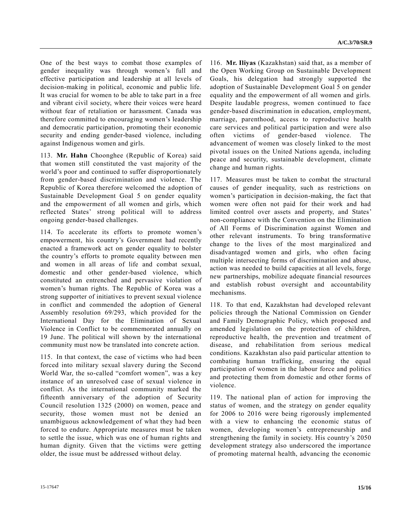One of the best ways to combat those examples of gender inequality was through women's full and effective participation and leadership at all levels of decision-making in political, economic and public life. It was crucial for women to be able to take part in a free and vibrant civil society, where their voices were heard without fear of retaliation or harassment. Canada was therefore committed to encouraging women's leadership and democratic participation, promoting their economic security and ending gender-based violence, including against Indigenous women and girls.

113. **Mr. Hahn** Choonghee (Republic of Korea) said that women still constituted the vast majority of the world's poor and continued to suffer disproportionately from gender-based discrimination and violence. The Republic of Korea therefore welcomed the adoption of Sustainable Development Goal 5 on gender equality and the empowerment of all women and girls, which reflected States' strong political will to address ongoing gender-based challenges.

114. To accelerate its efforts to promote women's empowerment, his country's Government had recently enacted a framework act on gender equality to bolster the country's efforts to promote equality between men and women in all areas of life and combat sexual, domestic and other gender-based violence, which constituted an entrenched and pervasive violation of women's human rights. The Republic of Korea was a strong supporter of initiatives to prevent sexual violence in conflict and commended the adoption of General Assembly resolution 69/293, which provided for the International Day for the Elimination of Sexual Violence in Conflict to be commemorated annually on 19 June. The political will shown by the international community must now be translated into concrete action.

115. In that context, the case of victims who had been forced into military sexual slavery during the Second World War, the so-called "comfort women", was a key instance of an unresolved case of sexual violence in conflict. As the international community marked the fifteenth anniversary of the adoption of Security Council resolution 1325 (2000) on women, peace and security, those women must not be denied an unambiguous acknowledgement of what they had been forced to endure. Appropriate measures must be taken to settle the issue, which was one of human rights and human dignity. Given that the victims were getting older, the issue must be addressed without delay.

116. **Mr. Iliyas** (Kazakhstan) said that, as a member of the Open Working Group on Sustainable Development Goals, his delegation had strongly supported the adoption of Sustainable Development Goal 5 on gender equality and the empowerment of all women and girls. Despite laudable progress, women continued to face gender-based discrimination in education, employment, marriage, parenthood, access to reproductive health care services and political participation and were also often victims of gender-based violence. The advancement of women was closely linked to the most pivotal issues on the United Nations agenda, including peace and security, sustainable development, climate change and human rights.

117. Measures must be taken to combat the structural causes of gender inequality, such as restrictions on women's participation in decision-making, the fact that women were often not paid for their work and had limited control over assets and property, and States' non-compliance with the Convention on the Elimination of All Forms of Discrimination against Women and other relevant instruments. To bring transformative change to the lives of the most marginalized and disadvantaged women and girls, who often facing multiple intersecting forms of discrimination and abuse, action was needed to build capacities at all levels, forge new partnerships, mobilize adequate financial resources and establish robust oversight and accountability mechanisms.

118. To that end, Kazakhstan had developed relevant policies through the National Commission on Gender and Family Demographic Policy, which proposed and amended legislation on the protection of children, reproductive health, the prevention and treatment of disease, and rehabilitation from serious medical conditions. Kazakhstan also paid particular attention to combating human trafficking, ensuring the equal participation of women in the labour force and politics and protecting them from domestic and other forms of violence.

119. The national plan of action for improving the status of women, and the strategy on gender equality for 2006 to 2016 were being rigorously implemented with a view to enhancing the economic status of women, developing women's entrepreneurship and strengthening the family in society. His country's 2050 development strategy also underscored the importance of promoting maternal health, advancing the economic